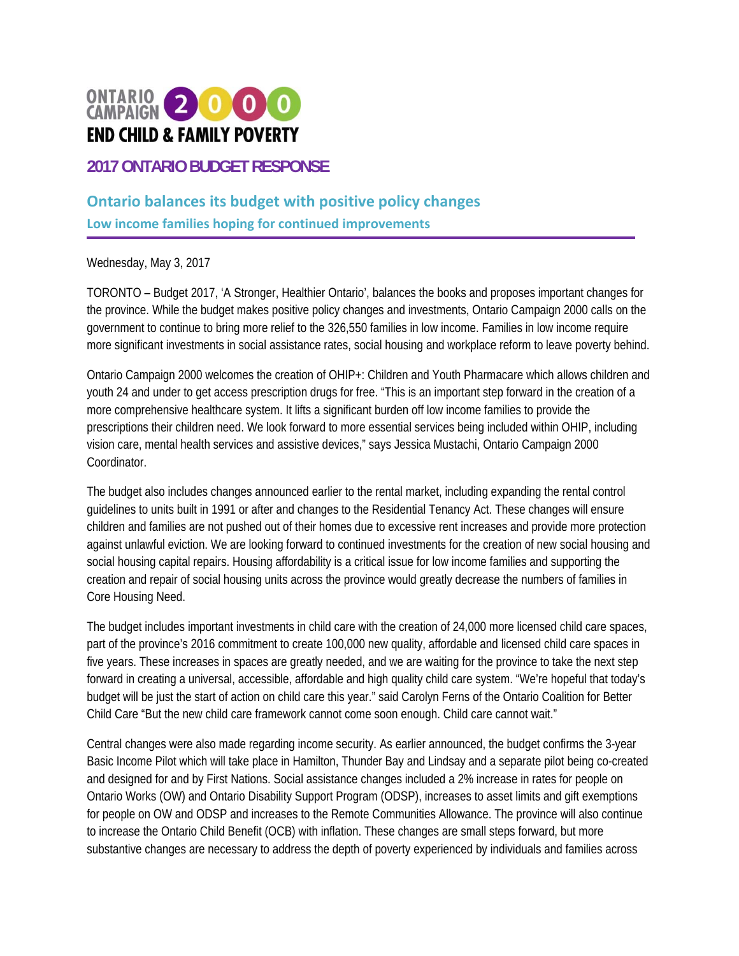

**2017 ONTARIO BUDGET RESPONSE** 

## **Ontario balances its budget with positive policy changes**

**Low income families hoping for continued improvements**

Wednesday, May 3, 2017

TORONTO – Budget 2017, 'A Stronger, Healthier Ontario', balances the books and proposes important changes for the province. While the budget makes positive policy changes and investments, Ontario Campaign 2000 calls on the government to continue to bring more relief to the 326,550 families in low income. Families in low income require more significant investments in social assistance rates, social housing and workplace reform to leave poverty behind.

Ontario Campaign 2000 welcomes the creation of OHIP+: Children and Youth Pharmacare which allows children and youth 24 and under to get access prescription drugs for free. "This is an important step forward in the creation of a more comprehensive healthcare system. It lifts a significant burden off low income families to provide the prescriptions their children need. We look forward to more essential services being included within OHIP, including vision care, mental health services and assistive devices," says Jessica Mustachi, Ontario Campaign 2000 Coordinator.

The budget also includes changes announced earlier to the rental market, including expanding the rental control guidelines to units built in 1991 or after and changes to the Residential Tenancy Act. These changes will ensure children and families are not pushed out of their homes due to excessive rent increases and provide more protection against unlawful eviction. We are looking forward to continued investments for the creation of new social housing and social housing capital repairs. Housing affordability is a critical issue for low income families and supporting the creation and repair of social housing units across the province would greatly decrease the numbers of families in Core Housing Need.

The budget includes important investments in child care with the creation of 24,000 more licensed child care spaces, part of the province's 2016 commitment to create 100,000 new quality, affordable and licensed child care spaces in five years. These increases in spaces are greatly needed, and we are waiting for the province to take the next step forward in creating a universal, accessible, affordable and high quality child care system. "We're hopeful that today's budget will be just the start of action on child care this year." said Carolyn Ferns of the Ontario Coalition for Better Child Care "But the new child care framework cannot come soon enough. Child care cannot wait."

Central changes were also made regarding income security. As earlier announced, the budget confirms the 3-year Basic Income Pilot which will take place in Hamilton, Thunder Bay and Lindsay and a separate pilot being co-created and designed for and by First Nations. Social assistance changes included a 2% increase in rates for people on Ontario Works (OW) and Ontario Disability Support Program (ODSP), increases to asset limits and gift exemptions for people on OW and ODSP and increases to the Remote Communities Allowance. The province will also continue to increase the Ontario Child Benefit (OCB) with inflation. These changes are small steps forward, but more substantive changes are necessary to address the depth of poverty experienced by individuals and families across